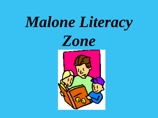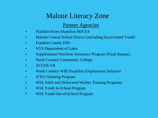# Malone Literacy Zone

# Partner Agencies

- Franklin-Essex-Hamilton BOCES
- Malone Central School District (including Incarcerated Youth)
- Franklin County DSS
- NYS Department of Labor
- Supplemental Nutrition Assistance Program (Food Stamps)
- North Country Community College
- ACCES-VR
- North Country WIB Disability Employment Initiative
- JCEO Gleaning Program
- WIA Adult and Dislocated Worker Training Programs
- WIA Youth In-School Program
- WIA Youth Out-of-School Program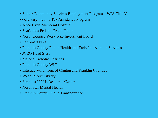- Senior Community Services Employment Program WIA Title V
- •Voluntary Income Tax Assistance Program
- Alice Hyde Memorial Hospital
- SeaComm Federal Credit Union
- North Country Workforce Investment Board
- Eat Smart NY!
- Franklin County Public Health and Early Intervention Services
- JCEO Head Start
- Malone Catholic Charities
- Franklin County WIC
- Literacy Volunteers of Clinton and Franklin Counties
- Wead Public Library
- Families 'R' Us Resource Center
- North Star Mental Health
- Franklin County Public Transportation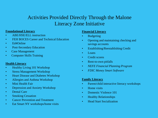# Activities Provided Directly Through the Malone Literacy Zone Initiative

### **Foundational Literacy**

- ABE/HSE/ELL instruction
- FEH BOCES Career and Technical Education
- Ed4Online
- Post-Secondary Education
- Case Management
- Computer Skills Training

## **Health Literacy**

- Healthy Living 101 Workshop
- Stress Management Workshop
- Heart Disease and Diabetes Workshop
- Allergies and Asthma Workshop
- Mini Health Fair
- Depression and Anxiety Workshop
- Dental Care
- **Smoking Cessation**
- Cancer Prevention and Treatment
- Eat Smart NY workshops/home visits

# **Financial Literacy**

- Budgeting
- Opening and maintaining checking and savings accounts
- Establishing/Reestablishing Credit
- Loans
- Credit scores
- Rent-to-own pitfalls
- *NEFE Financial Planning Program*
- *FDIC Money Smart Software*

### **Family Literacy**

- Parent/child interactive literacy workshops
- Home visits
- Domestic Violence 101
- Healthy Relationships
- Head Start Socialization